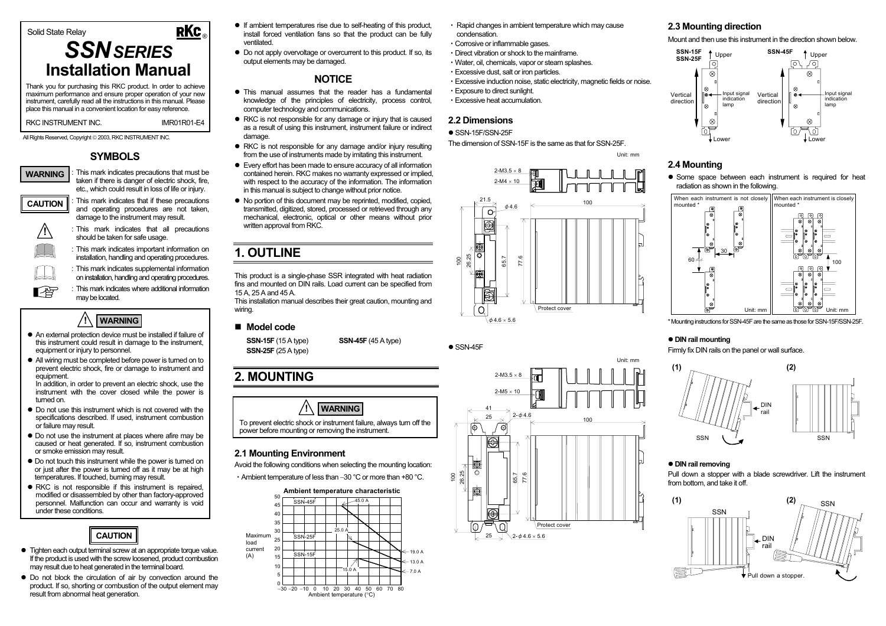# Solid State Relay

# *SSNSERIES***Installation Manual**

Thank you for purchasing this RKC product. In order to achieve maximum performance and ensure proper operation of your new instrument, carefully read all the instructions in this manual. Please place this manual in a convenient location for easy reference.

RKC INSTRUMENT INC.

All Rights Reserved, Copyright © 2003, RKC INSTRUMENT INC.

# **SYMBOLS**



: This mark indicates precautions that must be taken if there is danger of electric shock, fire, etc., which could result in loss of life or injury.

IMR01R01-E4

®

**RKC** 



▶

: This mark indicates that if these precautions and operating procedures are not taken damage to the instrument may result.



: This mark indicates that all precautions should be taken for safe usage.

: This mark indicates important information on installation, handling and operating procedures.

: This mark indicates supplemental information on installation, handling and operating procedures.

: This mark indicates where additional information may be located.



- $\bullet$  An external protection device must be installed if failure of this instrument could result in damage to the instrument, equipment or injury to personnel.
- All wiring must be completed before power is turned on to prevent electric shock, fire or damage to instrument and equipment.

In addition, in order to prevent an electric shock, use the instrument with the cover closed while the power is turned on.

- $\bullet$  Do not use this instrument which is not covered with the specifications described. If used, instrument combustion or failure may result.
- $\bullet$  Do not use the instrument at places where afire may be caused or heat generated. If so, instrument combustion or smoke emission may result.
- $\bullet$  Do not touch this instrument while the power is turned on or just after the power is turned off as it may be at high temperatures. If touched, burning may result.
- $\bullet$  RKC is not responsible if this instrument is repaired. modified or disassembled by other than factory-approved personnel. Malfunction can occur and warranty is void under these conditions.



- Tighten each output terminal screw at an appropriate torque value. If the product is used with the screw loosened, product combustion may result due to heat generated in the terminal board.
- $\bullet$  Do not block the circulation of air by convection around the product. If so, shorting or combustion of the output element may result from abnormal heat generation.
- $\bullet$  If ambient temperatures rise due to self-heating of this product, install forced ventilation fans so that the product can be fully ventilated.
- Do not apply overvoltage or overcurrent to this product. If so, its output elements may be damaged.

# **NOTICE**

- $\bullet$  This manual assumes that the reader has a fundamental knowledge of the principles of electricity, process control, computer technology and communications.
- RKC is not responsible for any damage or injury that is caused as a result of using this instrument, instrument failure or indirect damage.
- $\bullet$  RKC is not responsible for any damage and/or injury resulting from the use of instruments made by imitating this instrument.
- Every effort has been made to ensure accuracy of all information contained herein. RKC makes no warranty expressed or implied, with respect to the accuracy of the information. The information in this manual is subject to change without prior notice.
- $\bullet$  No portion of this document may be reprinted, modified, copied, transmitted, digitized, stored, processed or retrieved through any mechanical, electronic, optical or other means without prior written approval from RKC.

# **1. OUTLINE**

This product is a single-phase SSR integrated with heat radiation fins and mounted on DIN rails. Load current can be specified from 15 A, 25 A and 45 A.

This installation manual describes their great caution, mounting and wiring.

#### **Model code**

**SSN-15F** (15 A type) **SSN-45F** (45 A type) **SSN-25F** (25 A type)

# **2. MOUNTING**



### **2.1 Mounting Environment**

Avoid the following conditions when selecting the mounting location:

・Ambient temperature of less than −30 °C or more than +80 °C.



- ・ Rapid changes in ambient temperature which may cause condensation.
- ・Corrosive or inflammable gases.
- ・Direct vibration or shock to the mainframe.
- ・Water, oil, chemicals, vapor or steam splashes.
- ・Excessive dust, salt or iron particles.
- ・Excessive induction noise, static electricity, magnetic fields or noise.
- ・Exposure to direct sunlight.
- ・Excessive heat accumulation.

## **2.2 Dimensions**

#### $\bullet$  SSN-15F/SSN-25F

The dimension of SSN-15F is the same as that for SSN-25F.





#### **2.3 Mounting direction**

Mount and then use this instrument in the direction shown below.



#### **2.4 Mounting**

Unit: mm

• Some space between each instrument is required for heat radiation as shown in the following.



\* Mounting instructions for SSN-45F are the same as those for SSN-15F/SSN-25F.

#### **• DIN rail mounting**

Firmly fix DIN rails on the panel or wall surface.



#### **• DIN rail removing**

Pull down a stopper with a blade screwdriver. Lift the instrument from bottom, and take it off.